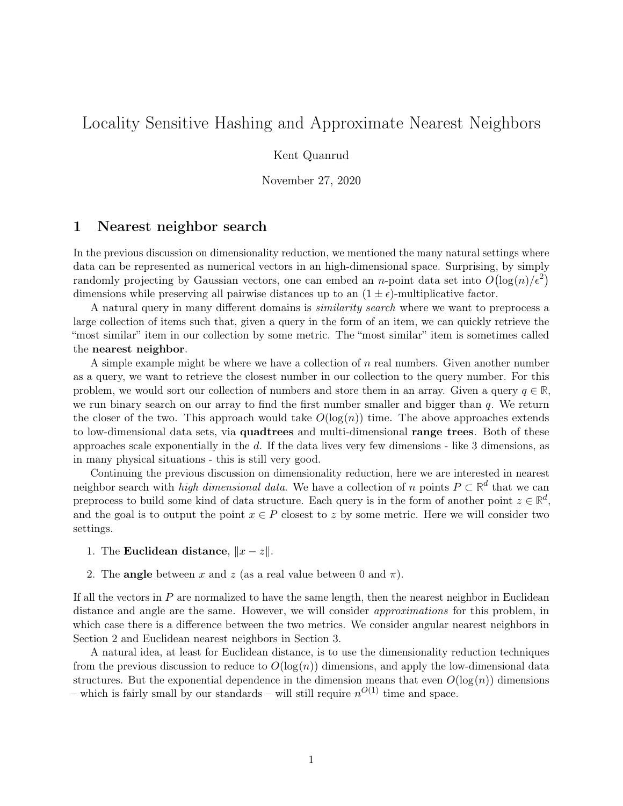# <span id="page-0-0"></span>Locality Sensitive Hashing and Approximate Nearest Neighbors

Kent Quanrud

November 27, 2020

## 1 Nearest neighbor search

In the previous discussion on dimensionality reduction, we mentioned the many natural settings where data can be represented as numerical vectors in an high-dimensional space. Surprising, by simply randomly projecting by Gaussian vectors, one can embed an *n*-point data set into  $O(\log(n)/\epsilon^2)$ dimensions while preserving all pairwise distances up to an  $(1 \pm \epsilon)$ -multiplicative factor.

A natural query in many different domains is similarity search where we want to preprocess a large collection of items such that, given a query in the form of an item, we can quickly retrieve the "most similar" item in our collection by some metric. The "most similar" item is sometimes called the nearest neighbor.

A simple example might be where we have a collection of n real numbers. Given another number as a query, we want to retrieve the closest number in our collection to the query number. For this problem, we would sort our collection of numbers and store them in an array. Given a query  $q \in \mathbb{R}$ , we run binary search on our array to find the first number smaller and bigger than  $q$ . We return the closer of the two. This approach would take  $O(\log(n))$  time. The above approaches extends to low-dimensional data sets, via quadtrees and multi-dimensional range trees. Both of these approaches scale exponentially in the  $d$ . If the data lives very few dimensions - like 3 dimensions, as in many physical situations - this is still very good.

Continuing the previous discussion on dimensionality reduction, here we are interested in nearest neighbor search with *high dimensional data*. We have a collection of n points  $P \subset \mathbb{R}^d$  that we can preprocess to build some kind of data structure. Each query is in the form of another point  $z \in \mathbb{R}^d$ , and the goal is to output the point  $x \in P$  closest to z by some metric. Here we will consider two settings.

- 1. The Euclidean distance,  $||x z||$ .
- 2. The **angle** between x and z (as a real value between 0 and  $\pi$ ).

If all the vectors in  $P$  are normalized to have the same length, then the nearest neighbor in Euclidean distance and angle are the same. However, we will consider *approximations* for this problem, in which case there is a difference between the two metrics. We consider angular nearest neighbors in [Section 2](#page-1-0) and Euclidean nearest neighbors in [Section 3.](#page-2-0)

A natural idea, at least for Euclidean distance, is to use the dimensionality reduction techniques from the previous discussion to reduce to  $O(\log(n))$  dimensions, and apply the low-dimensional data structures. But the exponential dependence in the dimension means that even  $O(\log(n))$  dimensions – which is fairly small by our standards – will still require  $n^{O(1)}$  time and space.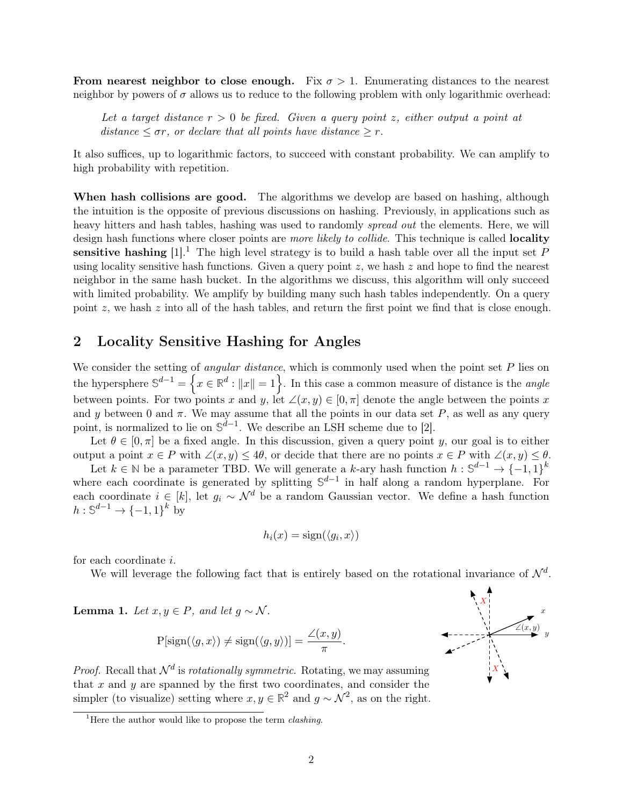From nearest neighbor to close enough. Fix  $\sigma > 1$ . Enumerating distances to the nearest neighbor by powers of  $\sigma$  allows us to reduce to the following problem with only logarithmic overhead:

Let a target distance  $r > 0$  be fixed. Given a query point z, either output a point at distance  $\leq \sigma r$ , or declare that all points have distance  $\geq r$ .

It also suffices, up to logarithmic factors, to succeed with constant probability. We can amplify to high probability with repetition.

When hash collisions are good. The algorithms we develop are based on hashing, although the intuition is the opposite of previous discussions on hashing. Previously, in applications such as heavy hitters and hash tables, hashing was used to randomly *spread out* the elements. Here, we will design hash functions where closer points are *more likely to collide*. This technique is called **locality** sensitive hashing  $[1]$ <sup>[1](#page-0-0)</sup>. The high level strategy is to build a hash table over all the input set P using locality sensitive hash functions. Given a query point  $z$ , we hash  $z$  and hope to find the nearest neighbor in the same hash bucket. In the algorithms we discuss, this algorithm will only succeed with limited probability. We amplify by building many such hash tables independently. On a query point  $z$ , we hash  $z$  into all of the hash tables, and return the first point we find that is close enough.

# <span id="page-1-0"></span>2 Locality Sensitive Hashing for Angles

We consider the setting of *angular distance*, which is commonly used when the point set  $P$  lies on the hypersphere  $\mathbb{S}^{d-1} = \left\{ x \in \mathbb{R}^d : ||x|| = 1 \right\}$ . In this case a common measure of distance is the *angle* between points. For two points x and y, let  $\angle(x, y) \in [0, \pi]$  denote the angle between the points x and y between 0 and  $\pi$ . We may assume that all the points in our data set P, as well as any query point, is normalized to lie on  $\mathbb{S}^{d-1}$ . We describe an LSH scheme due to [\[2\]](#page-7-1).

Let  $\theta \in [0, \pi]$  be a fixed angle. In this discussion, given a query point y, our goal is to either output a point  $x \in P$  with  $\angle(x, y) \leq 4\theta$ , or decide that there are no points  $x \in P$  with  $\angle(x, y) \leq \theta$ .

Let  $k \in \mathbb{N}$  be a parameter TBD. We will generate a k-ary hash function  $h: \mathbb{S}^{d-1} \to \{-1,1\}^k$ where each coordinate is generated by splitting  $\mathbb{S}^{d-1}$  in half along a random hyperplane. For each coordinate  $i \in [k]$ , let  $g_i \sim \mathcal{N}^d$  be a random Gaussian vector. We define a hash function  $h: \mathbb{S}^{d-1} \to \{-1,1\}^k$  by

$$
h_i(x) = \text{sign}(\langle g_i, x \rangle)
$$

for each coordinate i.

We will leverage the following fact that is entirely based on the rotational invariance of  $\mathcal{N}^d$ .

Lemma 1. Let  $x, y \in P$ , and let  $g \sim \mathcal{N}$ .

$$
P[sign(\langle g, x \rangle) \neq sign(\langle g, y \rangle)] = \frac{\angle(x, y)}{\pi}.
$$

*Proof.* Recall that  $\mathcal{N}^d$  is *rotationally symmetric*. Rotating, we may assuming that  $x$  and  $y$  are spanned by the first two coordinates, and consider the simpler (to visualize) setting where  $x, y \in \mathbb{R}^2$  and  $g \sim \mathcal{N}^2$ , as on the right.



<sup>&</sup>lt;sup>1</sup>Here the author would like to propose the term *clashing*.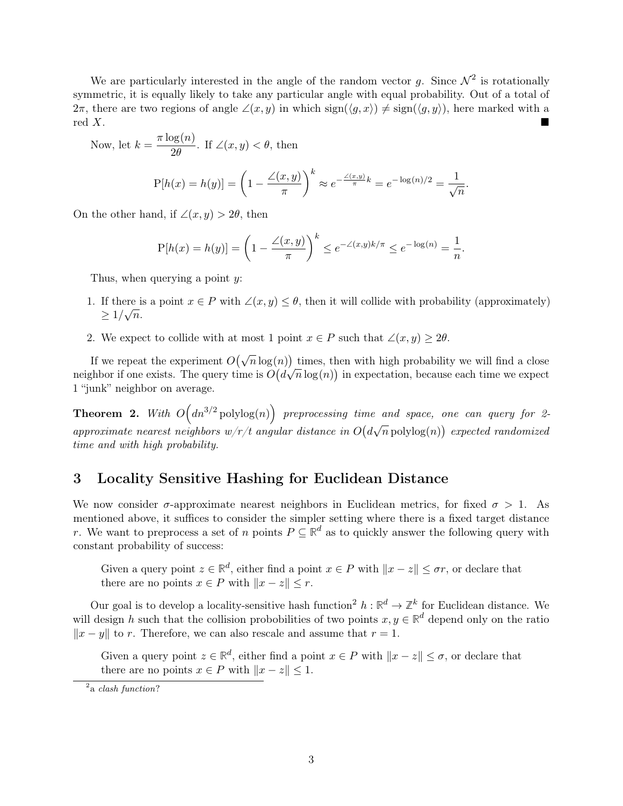We are particularly interested in the angle of the random vector g. Since  $\mathcal{N}^2$  is rotationally symmetric, it is equally likely to take any particular angle with equal probability. Out of a total of  $2\pi$ , there are two regions of angle  $\angle(x, y)$  in which sign( $\langle g, x \rangle$ )  $\neq$  sign( $\langle g, y \rangle$ ), here marked with a  $\text{red } X$ .

Now, let 
$$
k = \frac{\pi \log(n)}{2\theta}
$$
. If  $\angle(x, y) < \theta$ , then  

$$
P[h(x) = h(y)] = \left(1 - \frac{\angle(x, y)}{\pi}\right)^k \approx e^{-\frac{\angle(x, y)}{\pi}k} = e^{-\log(n)/2} = \frac{1}{\sqrt{n}}.
$$

On the other hand, if  $\angle(x, y) > 2\theta$ , then

$$
P[h(x) = h(y)] = \left(1 - \frac{\angle(x, y)}{\pi}\right)^k \le e^{-\angle(x, y)k/\pi} \le e^{-\log(n)} = \frac{1}{n}.
$$

Thus, when querying a point  $y$ :

- 1. If there is a point  $x \in P$  with  $\angle(x, y) \leq \theta$ , then it will collide with probability (approximately)  $\geq 1/\sqrt{n}$ .
- 2. We expect to collide with at most 1 point  $x \in P$  such that  $\angle(x, y) \geq 2\theta$ .

If we repeat the experiment  $O(\sqrt{n}\log(n))$  times, then with high probability we will find a close neighbor if one exists. The query time is  $O(d\sqrt{n}\log(n))$  in expectation, because each time we expect 1 "junk" neighbor on average.

**Theorem 2.** With  $O(dn^{3/2} \text{polylog}(n))$  preprocessing time and space, one can query for 2- $\emph{approximate nearest neighbors } w/r/t \emph{ angular distance in } O(d)$ √  $\overline{n}$  polylog $(n)$ ) expected randomized time and with high probability.

# <span id="page-2-0"></span>3 Locality Sensitive Hashing for Euclidean Distance

We now consider  $\sigma$ -approximate nearest neighbors in Euclidean metrics, for fixed  $\sigma > 1$ . As mentioned above, it suffices to consider the simpler setting where there is a fixed target distance r. We want to preprocess a set of n points  $P \subseteq \mathbb{R}^d$  as to quickly answer the following query with constant probability of success:

Given a query point  $z \in \mathbb{R}^d$ , either find a point  $x \in P$  with  $||x - z|| \leq \sigma r$ , or declare that there are no points  $x \in P$  with  $||x - z|| \leq r$ .

Our goal is to develop a locality-sensitive hash function<sup>[2](#page-0-0)</sup>  $h: \mathbb{R}^d \to \mathbb{Z}^k$  for Euclidean distance. We will design h such that the collision probobilities of two points  $x, y \in \mathbb{R}^d$  depend only on the ratio  $||x - y||$  to r. Therefore, we can also rescale and assume that r = 1.

Given a query point  $z \in \mathbb{R}^d$ , either find a point  $x \in P$  with  $||x - z|| \leq \sigma$ , or declare that there are no points  $x \in P$  with  $||x - z|| \leq 1$ .

 $2a$  clash function?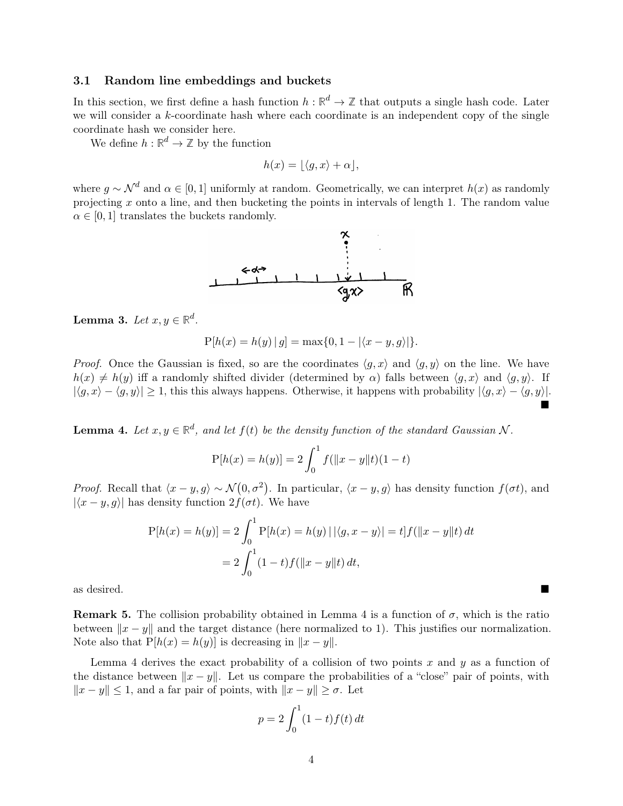#### <span id="page-3-1"></span>3.1 Random line embeddings and buckets

In this section, we first define a hash function  $h : \mathbb{R}^d \to \mathbb{Z}$  that outputs a single hash code. Later we will consider a k-coordinate hash where each coordinate is an independent copy of the single coordinate hash we consider here.

We define  $h: \mathbb{R}^d \to \mathbb{Z}$  by the function

$$
h(x) = \lfloor \langle g, x \rangle + \alpha \rfloor,
$$

where  $g \sim \mathcal{N}^d$  and  $\alpha \in [0,1]$  uniformly at random. Geometrically, we can interpret  $h(x)$  as randomly projecting x onto a line, and then bucketing the points in intervals of length 1. The random value  $\alpha \in [0, 1]$  translates the buckets randomly.



Lemma 3. Let  $x, y \in \mathbb{R}^d$ .

$$
P[h(x) = h(y) | g] = \max\{0, 1 - |\langle x - y, g \rangle|\}.
$$

*Proof.* Once the Gaussian is fixed, so are the coordinates  $\langle g, x \rangle$  and  $\langle g, y \rangle$  on the line. We have  $h(x) \neq h(y)$  iff a randomly shifted divider (determined by  $\alpha$ ) falls between  $\langle q, x \rangle$  and  $\langle q, y \rangle$ . If  $|\langle g, x \rangle - \langle g, y \rangle| \ge 1$ , this this always happens. Otherwise, it happens with probability  $|\langle g, x \rangle - \langle g, y \rangle|$ .  $\blacksquare$ 

<span id="page-3-0"></span>**Lemma 4.** Let  $x, y \in \mathbb{R}^d$ , and let  $f(t)$  be the density function of the standard Gaussian N.

$$
P[h(x) = h(y)] = 2 \int_0^1 f(||x - y||t)(1 - t)
$$

*Proof.* Recall that  $\langle x - y, g \rangle \sim \mathcal{N}(0, \sigma^2)$ . In particular,  $\langle x - y, g \rangle$  has density function  $f(\sigma t)$ , and  $|\langle x - y, g \rangle|$  has density function  $2f(\sigma t)$ . We have

$$
P[h(x) = h(y)] = 2 \int_0^1 P[h(x) = h(y) | |\langle g, x - y \rangle| = t] f(||x - y||t) dt
$$
  
= 
$$
2 \int_0^1 (1 - t) f(||x - y||t) dt,
$$

as desired.

**Remark 5.** The collision probability obtained in [Lemma 4](#page-3-0) is a function of  $\sigma$ , which is the ratio between  $||x - y||$  and the target distance (here normalized to 1). This justifies our normalization. Note also that  $P[h(x) = h(y)]$  is decreasing in  $||x - y||$ .

[Lemma 4](#page-3-0) derives the exact probability of a collision of two points x and y as a function of the distance between  $||x - y||$ . Let us compare the probabilities of a "close" pair of points, with  $||x - y|| \leq 1$ , and a far pair of points, with  $||x - y|| \geq \sigma$ . Let

$$
p = 2\int_0^1 (1-t)f(t) dt
$$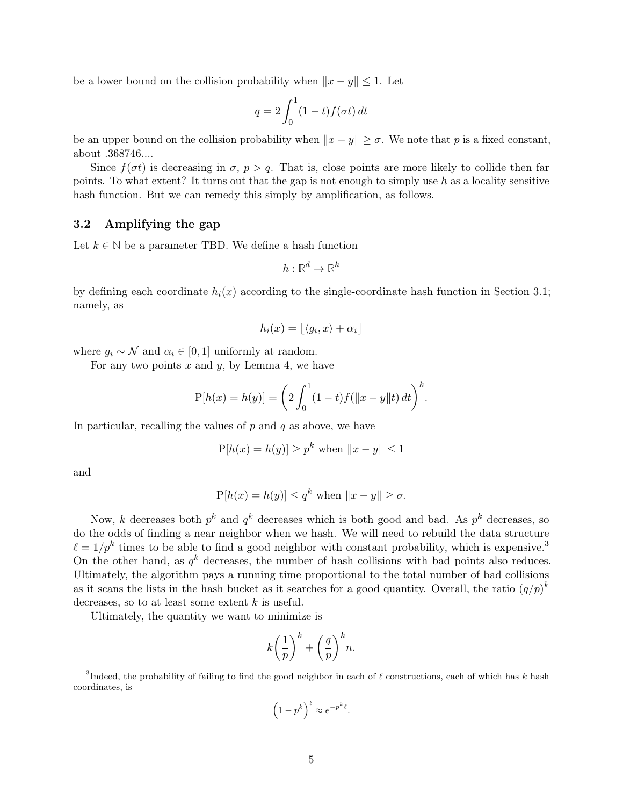be a lower bound on the collision probability when  $||x - y|| \leq 1$ . Let

$$
q = 2 \int_0^1 (1 - t) f(\sigma t) dt
$$

be an upper bound on the collision probability when  $||x - y|| \ge \sigma$ . We note that p is a fixed constant, about .368746....

Since  $f(\sigma t)$  is decreasing in  $\sigma$ ,  $p > q$ . That is, close points are more likely to collide then far points. To what extent? It turns out that the gap is not enough to simply use  $h$  as a locality sensitive hash function. But we can remedy this simply by amplification, as follows.

#### 3.2 Amplifying the gap

Let  $k \in \mathbb{N}$  be a parameter TBD. We define a hash function

$$
h:\mathbb{R}^d\to\mathbb{R}^k
$$

by defining each coordinate  $h_i(x)$  according to the single-coordinate hash function in [Section 3.1;](#page-3-1) namely, as

$$
h_i(x) = \lfloor \langle g_i, x \rangle + \alpha_i \rfloor
$$

where  $g_i \sim \mathcal{N}$  and  $\alpha_i \in [0, 1]$  uniformly at random.

For any two points  $x$  and  $y$ , by [Lemma 4,](#page-3-0) we have

$$
P[h(x) = h(y)] = \left(2 \int_0^1 (1-t)f(||x-y||t) dt\right)^k.
$$

In particular, recalling the values of  $p$  and  $q$  as above, we have

$$
P[h(x) = h(y)] \ge p^k
$$
 when  $||x - y|| \le 1$ 

and

$$
P[h(x) = h(y)] \le q^k \text{ when } ||x - y|| \ge \sigma.
$$

Now, k decreases both  $p^k$  and  $q^k$  decreases which is both good and bad. As  $p^k$  decreases, so do the odds of finding a near neighbor when we hash. We will need to rebuild the data structure  $\ell = 1/p^k$  times to be able to find a good neighbor with constant probability, which is expensive.<sup>[3](#page-0-0)</sup> On the other hand, as  $q^k$  decreases, the number of hash collisions with bad points also reduces. Ultimately, the algorithm pays a running time proportional to the total number of bad collisions as it scans the lists in the hash bucket as it searches for a good quantity. Overall, the ratio  $(q/p)^k$ decreases, so to at least some extent  $k$  is useful.

Ultimately, the quantity we want to minimize is

$$
k\left(\frac{1}{p}\right)^k + \left(\frac{q}{p}\right)^k n.
$$

$$
\left(1 - p^k\right)^{\ell} \approx e^{-p^k \ell}.
$$

<sup>&</sup>lt;sup>3</sup>Indeed, the probability of failing to find the good neighbor in each of  $\ell$  constructions, each of which has k hash coordinates, is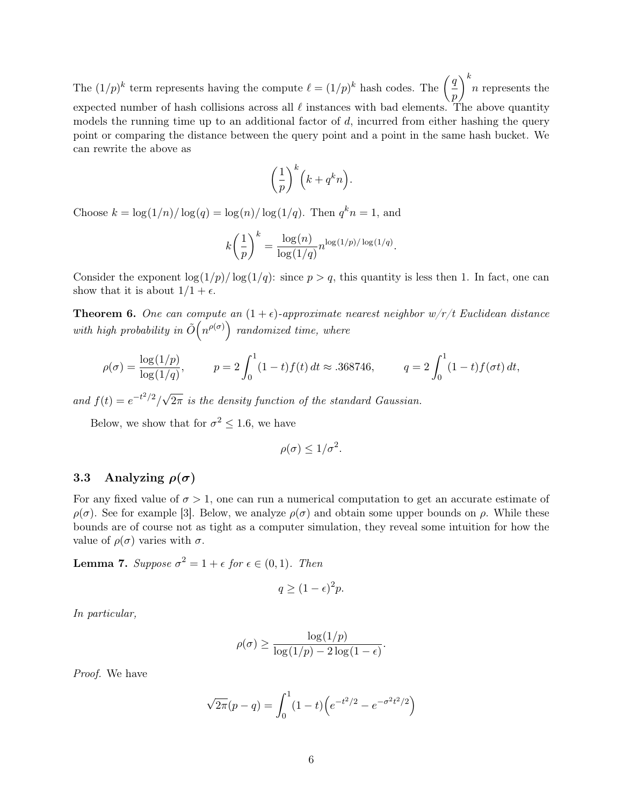The  $(1/p)^k$  term represents having the compute  $\ell = (1/p)^k$  hash codes. The  $\left(\frac{q}{q}\right)$ p  $\bigg\}^k n$  represents the expected number of hash collisions across all  $\ell$  instances with bad elements. The above quantity models the running time up to an additional factor of  $d$ , incurred from either hashing the query point or comparing the distance between the query point and a point in the same hash bucket. We can rewrite the above as

$$
\left(\frac{1}{p}\right)^k \left(k + q^k n\right).
$$

Choose  $k = \log(1/n)/\log(q) = \log(n)/\log(1/q)$ . Then  $q^k n = 1$ , and

$$
k\left(\frac{1}{p}\right)^k = \frac{\log(n)}{\log(1/q)} n^{\log(1/p)/\log(1/q)}.
$$

Consider the exponent  $\log(1/p)/\log(1/q)$ : since  $p > q$ , this quantity is less then 1. In fact, one can show that it is about  $1/1 + \epsilon$ .

**Theorem 6.** One can compute an  $(1 + \epsilon)$ -approximate nearest neighbor  $w/r/t$  Euclidean distance with high probability in  $\tilde{O}(n^{\rho(\sigma)})$  randomized time, where

$$
\rho(\sigma) = \frac{\log(1/p)}{\log(1/q)}, \qquad p = 2 \int_0^1 (1-t) f(t) dt \approx .368746, \qquad q = 2 \int_0^1 (1-t) f(\sigma t) dt,
$$

and  $f(t) = e^{-t^2/2}$ √  $2\pi$  is the density function of the standard Gaussian.

Below, we show that for  $\sigma^2 \leq 1.6$ , we have

$$
\rho(\sigma) \le 1/\sigma^2.
$$

#### 3.3 Analyzing  $\rho(\sigma)$

For any fixed value of  $\sigma > 1$ , one can run a numerical computation to get an accurate estimate of  $\rho(\sigma)$ . See for example [\[3\]](#page-7-2). Below, we analyze  $\rho(\sigma)$  and obtain some upper bounds on  $\rho$ . While these bounds are of course not as tight as a computer simulation, they reveal some intuition for how the value of  $\rho(\sigma)$  varies with  $\sigma$ .

<span id="page-5-0"></span>**Lemma 7.** Suppose  $\sigma^2 = 1 + \epsilon$  for  $\epsilon \in (0, 1)$ . Then

$$
q \ge (1 - \epsilon)^2 p.
$$

In particular,

$$
\rho(\sigma) \ge \frac{\log(1/p)}{\log(1/p) - 2\log(1-\epsilon)}.
$$

Proof. We have

$$
\sqrt{2\pi}(p-q) = \int_0^1 (1-t) \left( e^{-t^2/2} - e^{-\sigma^2 t^2/2} \right)
$$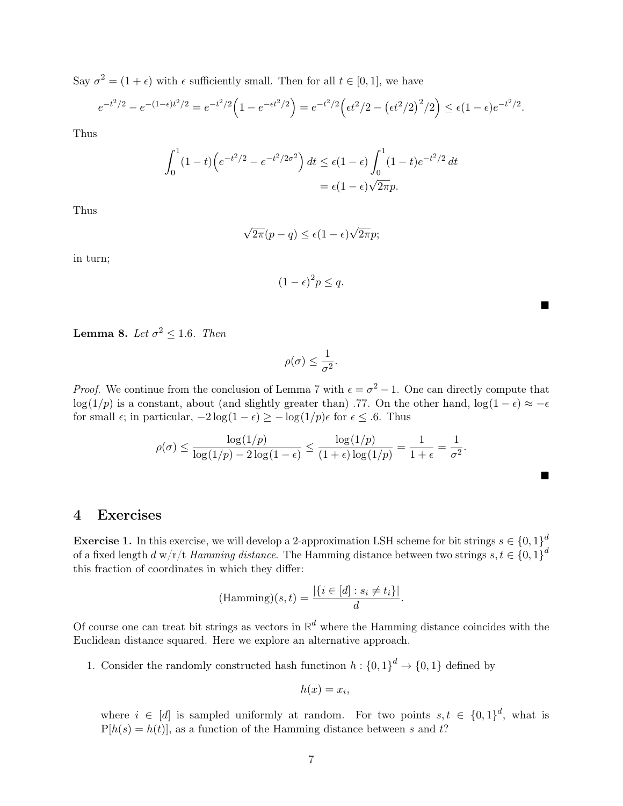Say  $\sigma^2 = (1 + \epsilon)$  with  $\epsilon$  sufficiently small. Then for all  $t \in [0, 1]$ , we have

$$
e^{-t^2/2} - e^{-(1-\epsilon)t^2/2} = e^{-t^2/2} \left( 1 - e^{-\epsilon t^2/2} \right) = e^{-t^2/2} \left( \epsilon t^2/2 - \left( \epsilon t^2/2 \right)^2/2 \right) \le \epsilon (1-\epsilon) e^{-t^2/2}.
$$

Thus

$$
\int_0^1 (1-t) \left( e^{-t^2/2} - e^{-t^2/2\sigma^2} \right) dt \le \epsilon (1-\epsilon) \int_0^1 (1-t) e^{-t^2/2} dt
$$
  
=  $\epsilon (1-\epsilon) \sqrt{2\pi} p$ .

Thus

$$
\sqrt{2\pi}(p-q) \le \epsilon (1-\epsilon)\sqrt{2\pi}p;
$$

in turn;

$$
(1 - \epsilon)^2 p \le q.
$$

Е

**Lemma 8.** Let  $\sigma^2 \le 1.6$ . Then

$$
\rho(\sigma) \leq \frac{1}{\sigma^2}.
$$

*Proof.* We continue from the conclusion of [Lemma 7](#page-5-0) with  $\epsilon = \sigma^2 - 1$ . One can directly compute that log(1/p) is a constant, about (and slightly greater than) .77. On the other hand,  $\log(1 - \epsilon) \approx -\epsilon$ for small  $\epsilon$ ; in particular,  $-2\log(1-\epsilon) \geq -\log(1/p)\epsilon$  for  $\epsilon \leq .6$ . Thus

$$
\rho(\sigma) \le \frac{\log(1/p)}{\log(1/p) - 2\log(1-\epsilon)} \le \frac{\log(1/p)}{(1+\epsilon)\log(1/p)} = \frac{1}{1+\epsilon} = \frac{1}{\sigma^2}.
$$

## 4 Exercises

**Exercise 1.** In this exercise, we will develop a 2-approximation LSH scheme for bit strings  $s \in \{0,1\}^d$ of a fixed length  $d$  w/r/t Hamming distance. The Hamming distance between two strings  $s, t \in \{0, 1\}^d$ this fraction of coordinates in which they differ:

$$
(\text{Hamming})(s,t) = \frac{|\{i \in [d] : s_i \neq t_i\}|}{d}.
$$

Of course one can treat bit strings as vectors in  $\mathbb{R}^d$  where the Hamming distance coincides with the Euclidean distance squared. Here we explore an alternative approach.

1. Consider the randomly constructed hash functinon  $h: \{0,1\}^d \to \{0,1\}$  defined by

$$
h(x)=x_i,
$$

where  $i \in [d]$  is sampled uniformly at random. For two points  $s, t \in \{0,1\}^d$ , what is  $P[h(s) = h(t)]$ , as a function of the Hamming distance between s and t?